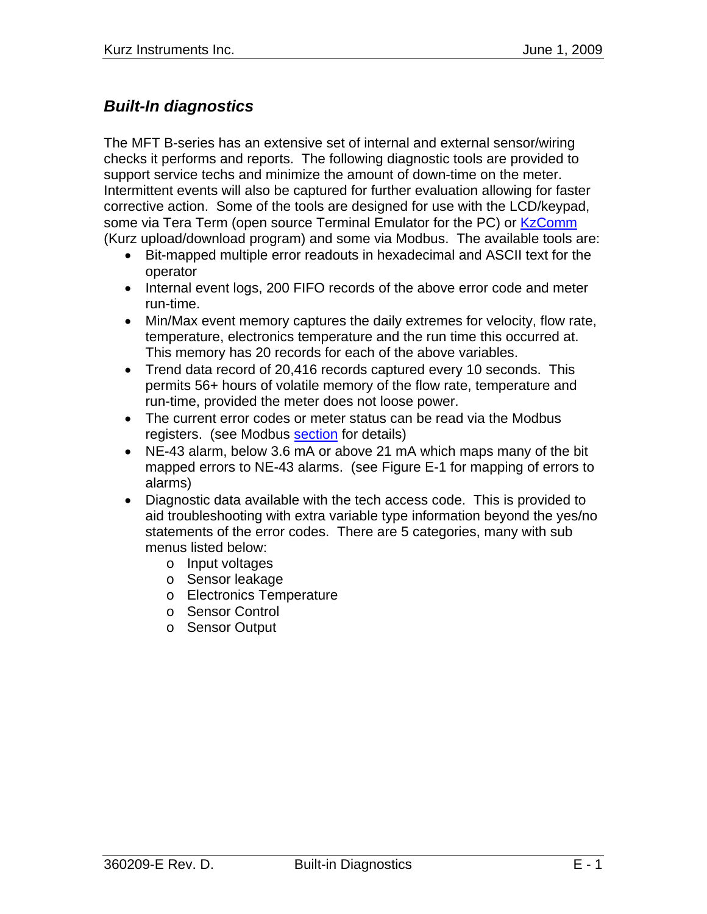# *Built-In diagnostics*

The MFT B-series has an extensive set of internal and external sensor/wiring checks it performs and reports. The following diagnostic tools are provided to support service techs and minimize the amount of down-time on the meter. Intermittent events will also be captured for further evaluation allowing for faster corrective action. Some of the tools are designed for use with the LCD/keypad, some via Tera Term (open source Terminal Emulator for the PC) or KzComm (Kurz upload/download program) and some via Modbus. The available tools are:

- Bit-mapped multiple error readouts in hexadecimal and ASCII text for the operator
- Internal event logs, 200 FIFO records of the above error code and meter run-time.
- Min/Max event memory captures the daily extremes for velocity, flow rate, temperature, electronics temperature and the run time this occurred at. This memory has 20 records for each of the above variables.
- Trend data record of 20,416 records captured every 10 seconds. This permits 56+ hours of volatile memory of the flow rate, temperature and run-time, provided the meter does not loose power.
- The current error codes or meter status can be read via the Modbus registers. (see Modbus section for details)
- NE-43 alarm, below 3.6 mA or above 21 mA which maps many of the bit mapped errors to NE-43 alarms. (see Figure E-1 for mapping of errors to alarms)
- Diagnostic data available with the tech access code. This is provided to aid troubleshooting with extra variable type information beyond the yes/no statements of the error codes. There are 5 categories, many with sub menus listed below:
	- o Input voltages
	- o Sensor leakage
	- o Electronics Temperature
	- o Sensor Control
	- o Sensor Output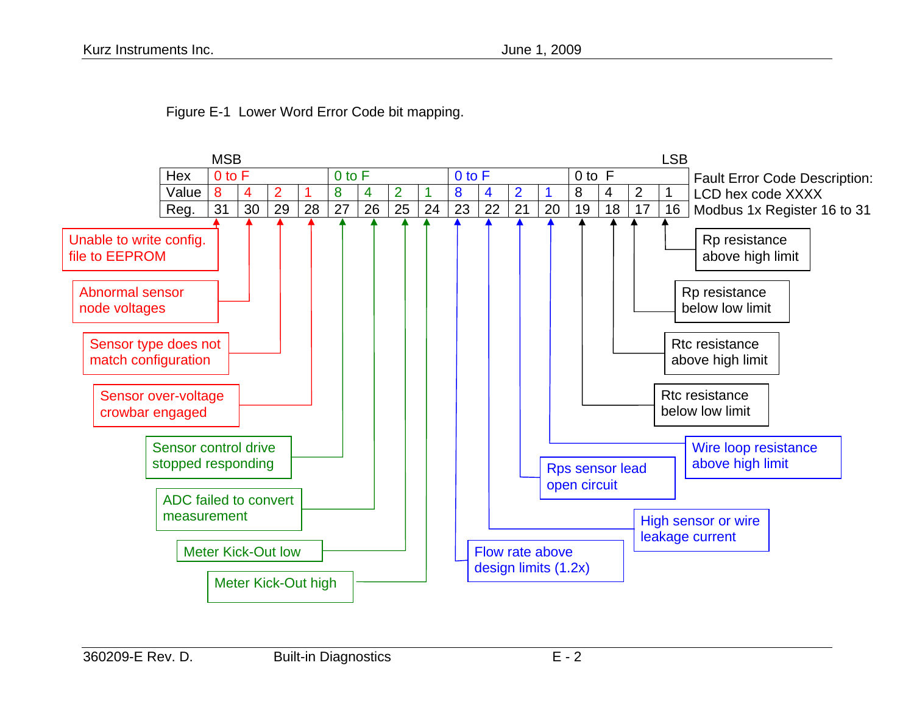

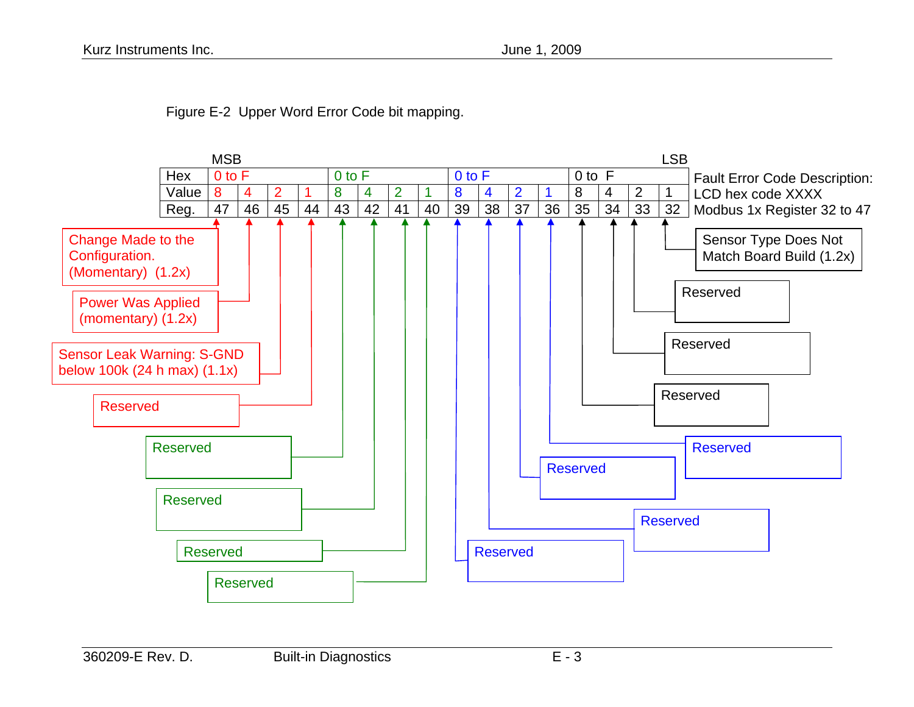

Figure E-2 Upper Word Error Code bit mapping.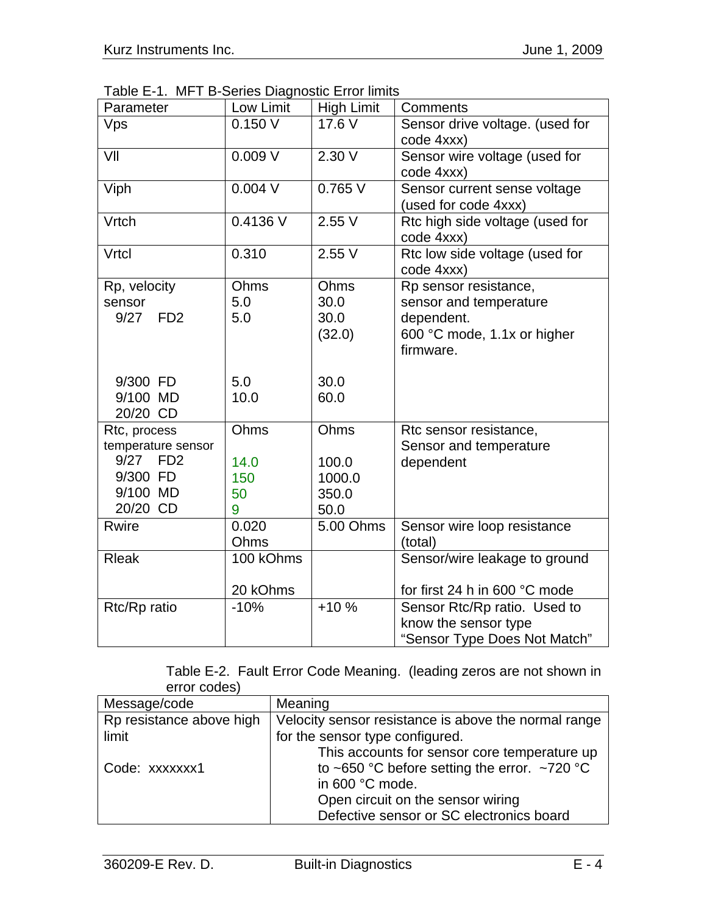Table E-1. MFT B-Series Diagnostic Error limits

| Parameter                                                                                         | Low Limit                      | <b>High Limit</b>                        | <b>Comments</b>                                                                                           |
|---------------------------------------------------------------------------------------------------|--------------------------------|------------------------------------------|-----------------------------------------------------------------------------------------------------------|
| Vps                                                                                               | 0.150V                         | 17.6 V                                   | Sensor drive voltage. (used for<br>code 4xxx)                                                             |
| VII                                                                                               | 0.009V                         | 2.30V                                    | Sensor wire voltage (used for<br>code 4xxx)                                                               |
| Viph                                                                                              | $0.004$ V                      | 0.765V                                   | Sensor current sense voltage<br>(used for code 4xxx)                                                      |
| Vrtch                                                                                             | 0.4136 V                       | 2.55V                                    | Rtc high side voltage (used for<br>code 4xxx)                                                             |
| Vrtcl                                                                                             | 0.310                          | 2.55V                                    | Rtc low side voltage (used for<br>code 4xxx)                                                              |
| Rp, velocity<br>sensor<br>9/27<br>F <sub>D</sub> <sub>2</sub>                                     | Ohms<br>5.0<br>5.0             | Ohms<br>30.0<br>30.0<br>(32.0)           | Rp sensor resistance,<br>sensor and temperature<br>dependent.<br>600 °C mode, 1.1x or higher<br>firmware. |
| 9/300 FD<br>9/100 MD<br>20/20 CD                                                                  | 5.0<br>10.0                    | 30.0<br>60.0                             |                                                                                                           |
| Rtc, process<br>temperature sensor<br>9/27<br>FD <sub>2</sub><br>9/300 FD<br>9/100 MD<br>20/20 CD | Ohms<br>14.0<br>150<br>50<br>9 | Ohms<br>100.0<br>1000.0<br>350.0<br>50.0 | Rtc sensor resistance,<br>Sensor and temperature<br>dependent                                             |
| <b>Rwire</b>                                                                                      | 0.020<br>Ohms                  | 5.00 Ohms                                | Sensor wire loop resistance<br>(total)                                                                    |
| <b>Rleak</b>                                                                                      | 100 kOhms<br>20 kOhms          |                                          | Sensor/wire leakage to ground<br>for first 24 h in 600 °C mode                                            |
| Rtc/Rp ratio                                                                                      | $-10%$                         | $+10%$                                   | Sensor Rtc/Rp ratio. Used to<br>know the sensor type<br>"Sensor Type Does Not Match"                      |

|              | Table E-2. Fault Error Code Meaning. (leading zeros are not shown in |  |
|--------------|----------------------------------------------------------------------|--|
| error codes) |                                                                      |  |

| Message/code             | Meaning                                              |
|--------------------------|------------------------------------------------------|
| Rp resistance above high | Velocity sensor resistance is above the normal range |
| limit                    | for the sensor type configured.                      |
|                          | This accounts for sensor core temperature up         |
| Code: xxxxxxx1           | to ~650 °C before setting the error. ~720 °C         |
|                          | in 600 °C mode.                                      |
|                          | Open circuit on the sensor wiring                    |
|                          | Defective sensor or SC electronics board             |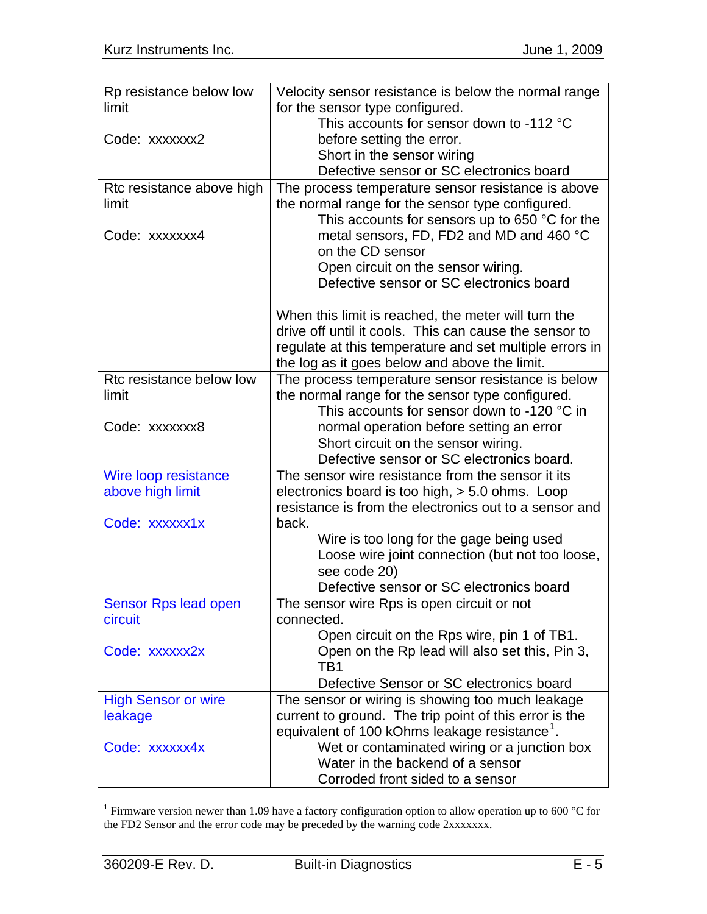<span id="page-4-0"></span>

| Rp resistance below low    | Velocity sensor resistance is below the normal range      |
|----------------------------|-----------------------------------------------------------|
| limit                      | for the sensor type configured.                           |
|                            | This accounts for sensor down to -112 °C                  |
| Code: xxxxxxx2             | before setting the error.                                 |
|                            | Short in the sensor wiring                                |
|                            | Defective sensor or SC electronics board                  |
| Rtc resistance above high  | The process temperature sensor resistance is above        |
| limit                      | the normal range for the sensor type configured.          |
|                            | This accounts for sensors up to 650 $\degree$ C for the   |
| Code: xxxxxxx4             | metal sensors, FD, FD2 and MD and 460 °C                  |
|                            | on the CD sensor                                          |
|                            | Open circuit on the sensor wiring.                        |
|                            | Defective sensor or SC electronics board                  |
|                            | When this limit is reached, the meter will turn the       |
|                            | drive off until it cools. This can cause the sensor to    |
|                            | regulate at this temperature and set multiple errors in   |
|                            | the log as it goes below and above the limit.             |
| Rtc resistance below low   | The process temperature sensor resistance is below        |
| limit                      | the normal range for the sensor type configured.          |
|                            | This accounts for sensor down to -120 °C in               |
| Code: xxxxxxx8             | normal operation before setting an error                  |
|                            | Short circuit on the sensor wiring.                       |
|                            | Defective sensor or SC electronics board.                 |
| Wire loop resistance       | The sensor wire resistance from the sensor it its         |
| above high limit           | electronics board is too high, $> 5.0$ ohms. Loop         |
|                            | resistance is from the electronics out to a sensor and    |
| Code: xxxxxx1x             | back.                                                     |
|                            | Wire is too long for the gage being used                  |
|                            | Loose wire joint connection (but not too loose,           |
|                            | see code 20)                                              |
|                            | Defective sensor or SC electronics board                  |
| Sensor Rps lead open       | The sensor wire Rps is open circuit or not                |
| circuit                    | connected.                                                |
|                            | Open circuit on the Rps wire, pin 1 of TB1.               |
| Code: xxxxxx2x             | Open on the Rp lead will also set this, Pin 3,<br>TB1     |
|                            | Defective Sensor or SC electronics board                  |
| <b>High Sensor or wire</b> | The sensor or wiring is showing too much leakage          |
| leakage                    | current to ground. The trip point of this error is the    |
|                            | equivalent of 100 kOhms leakage resistance <sup>1</sup> . |
| Code: xxxxxx4x             | Wet or contaminated wiring or a junction box              |
|                            | Water in the backend of a sensor                          |
|                            | Corroded front sided to a sensor                          |
|                            |                                                           |

<sup>&</sup>lt;sup>1</sup> Firmware version newer than 1.09 have a factory configuration option to allow operation up to 600 °C for the FD2 Sensor and the error code may be preceded by the warning code 2xxxxxxx.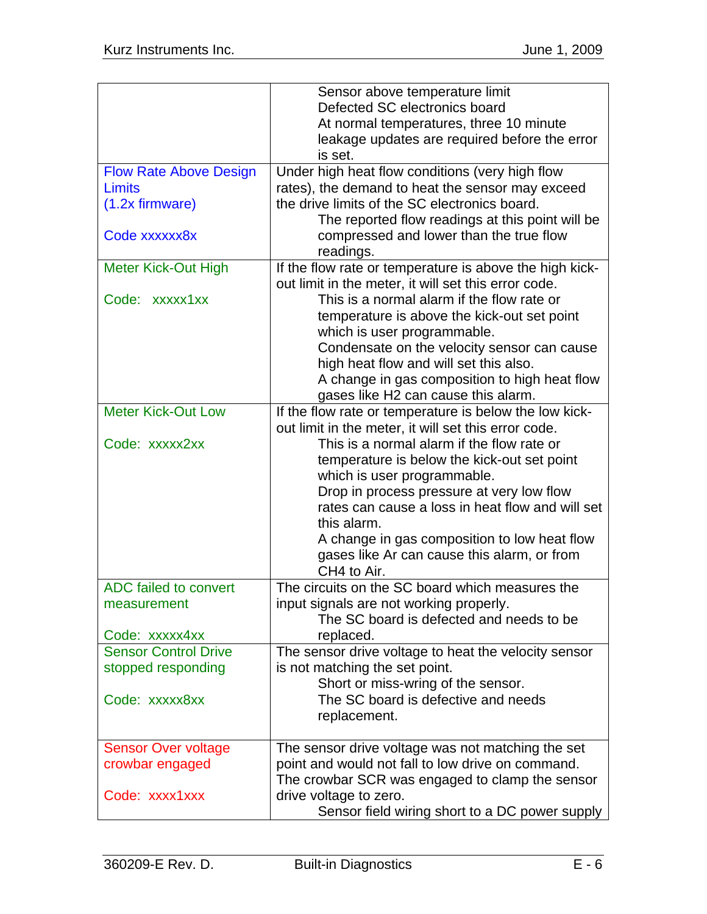|                               | Sensor above temperature limit                                             |
|-------------------------------|----------------------------------------------------------------------------|
|                               | Defected SC electronics board                                              |
|                               | At normal temperatures, three 10 minute                                    |
|                               | leakage updates are required before the error                              |
|                               | is set.                                                                    |
| <b>Flow Rate Above Design</b> | Under high heat flow conditions (very high flow                            |
| Limits                        | rates), the demand to heat the sensor may exceed                           |
| $(1.2x$ firmware)             | the drive limits of the SC electronics board.                              |
|                               | The reported flow readings at this point will be                           |
| Code xxxxxx8x                 | compressed and lower than the true flow                                    |
|                               | readings.                                                                  |
| <b>Meter Kick-Out High</b>    | If the flow rate or temperature is above the high kick-                    |
|                               | out limit in the meter, it will set this error code.                       |
| Code: xxxxx1xx                | This is a normal alarm if the flow rate or                                 |
|                               |                                                                            |
|                               | temperature is above the kick-out set point                                |
|                               | which is user programmable.<br>Condensate on the velocity sensor can cause |
|                               | high heat flow and will set this also.                                     |
|                               |                                                                            |
|                               | A change in gas composition to high heat flow                              |
|                               | gases like H2 can cause this alarm.                                        |
| <b>Meter Kick-Out Low</b>     | If the flow rate or temperature is below the low kick-                     |
|                               | out limit in the meter, it will set this error code.                       |
| Code: xxxxx2xx                | This is a normal alarm if the flow rate or                                 |
|                               | temperature is below the kick-out set point                                |
|                               | which is user programmable.                                                |
|                               | Drop in process pressure at very low flow                                  |
|                               | rates can cause a loss in heat flow and will set                           |
|                               | this alarm.                                                                |
|                               | A change in gas composition to low heat flow                               |
|                               | gases like Ar can cause this alarm, or from                                |
|                               | CH4 to Air.                                                                |
| ADC failed to convert         | The circuits on the SC board which measures the                            |
| measurement                   | input signals are not working properly.                                    |
|                               | The SC board is defected and needs to be                                   |
| Code: xxxxx4xx                | replaced.                                                                  |
| <b>Sensor Control Drive</b>   | The sensor drive voltage to heat the velocity sensor                       |
| stopped responding            | is not matching the set point.                                             |
|                               | Short or miss-wring of the sensor.                                         |
| Code: xxxxx8xx                | The SC board is defective and needs                                        |
|                               | replacement.                                                               |
|                               |                                                                            |
| <b>Sensor Over voltage</b>    | The sensor drive voltage was not matching the set                          |
| crowbar engaged               | point and would not fall to low drive on command.                          |
|                               | The crowbar SCR was engaged to clamp the sensor                            |
| Code: xxxx1xxx                | drive voltage to zero.                                                     |
|                               | Sensor field wiring short to a DC power supply                             |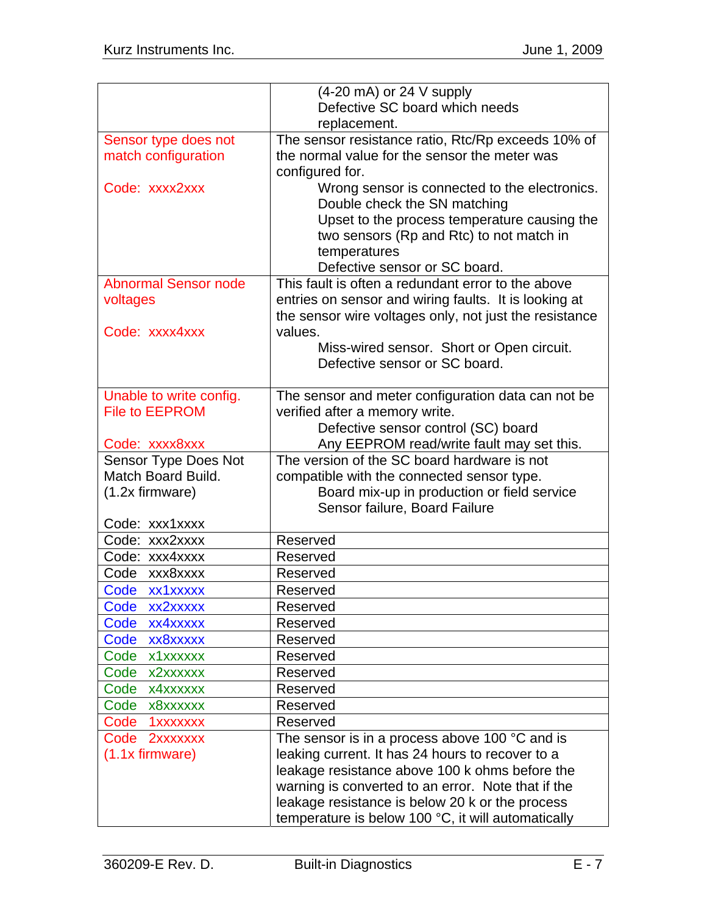|                             | $(4-20 \text{ mA})$ or 24 V supply                      |
|-----------------------------|---------------------------------------------------------|
|                             | Defective SC board which needs                          |
|                             | replacement.                                            |
| Sensor type does not        | The sensor resistance ratio, Rtc/Rp exceeds 10% of      |
| match configuration         | the normal value for the sensor the meter was           |
|                             | configured for.                                         |
| Code: xxxx2xxx              | Wrong sensor is connected to the electronics.           |
|                             | Double check the SN matching                            |
|                             | Upset to the process temperature causing the            |
|                             | two sensors (Rp and Rtc) to not match in                |
|                             | temperatures                                            |
|                             | Defective sensor or SC board.                           |
| <b>Abnormal Sensor node</b> | This fault is often a redundant error to the above      |
| voltages                    | entries on sensor and wiring faults. It is looking at   |
|                             | the sensor wire voltages only, not just the resistance  |
| Code: xxxx4xxx              | values.                                                 |
|                             | Miss-wired sensor. Short or Open circuit.               |
|                             | Defective sensor or SC board.                           |
|                             |                                                         |
| Unable to write config.     | The sensor and meter configuration data can not be      |
| <b>File to EEPROM</b>       | verified after a memory write.                          |
|                             | Defective sensor control (SC) board                     |
| Code: xxxx8xxx              | Any EEPROM read/write fault may set this.               |
| Sensor Type Does Not        | The version of the SC board hardware is not             |
| <b>Match Board Build.</b>   | compatible with the connected sensor type.              |
| $(1.2x$ firmware)           | Board mix-up in production or field service             |
|                             | Sensor failure, Board Failure                           |
| Code: xxx1xxxx              |                                                         |
| Code: xxx2xxxx              | Reserved                                                |
| Code: xxx4xxxx              | Reserved                                                |
| Code xxx8xxxx               | Reserved                                                |
| Code xx1xxxxx               | Reserved                                                |
| Code<br>xx2xxxxx            | Reserved                                                |
| Code<br>xx4xxxxx            | Reserved                                                |
| Code xx8xxxxx               | Reserved                                                |
| Code x1xxxxxx               | Reserved                                                |
| Code x2xxxxxx               | Reserved                                                |
| Code x4xxxxxx               | Reserved                                                |
| Code x8xxxxxx               | Reserved                                                |
| Code 1xxxxxxx               | Reserved                                                |
| Code 2xxxxxxx               | The sensor is in a process above 100 $\degree$ C and is |
| $(1.1x$ firmware)           | leaking current. It has 24 hours to recover to a        |
|                             | leakage resistance above 100 k ohms before the          |
|                             | warning is converted to an error. Note that if the      |
|                             | leakage resistance is below 20 k or the process         |
|                             | temperature is below 100 °C, it will automatically      |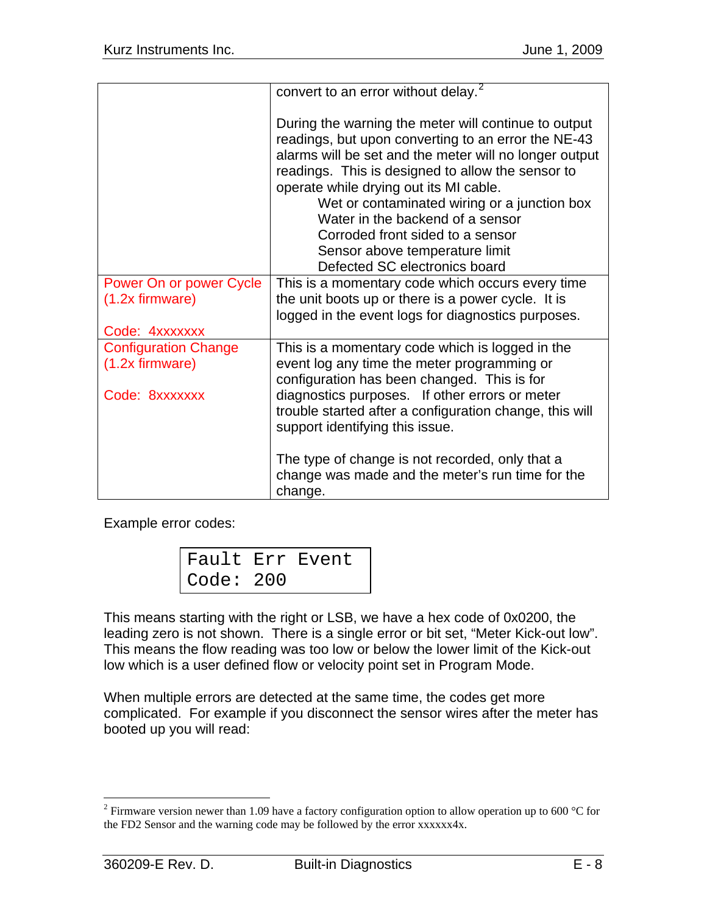<span id="page-7-0"></span>

|                             | convert to an error without delay. <sup>2</sup>                                                                                                                                                                                                                                                                                                                                                                                                                 |
|-----------------------------|-----------------------------------------------------------------------------------------------------------------------------------------------------------------------------------------------------------------------------------------------------------------------------------------------------------------------------------------------------------------------------------------------------------------------------------------------------------------|
|                             | During the warning the meter will continue to output<br>readings, but upon converting to an error the NE-43<br>alarms will be set and the meter will no longer output<br>readings. This is designed to allow the sensor to<br>operate while drying out its MI cable.<br>Wet or contaminated wiring or a junction box<br>Water in the backend of a sensor<br>Corroded front sided to a sensor<br>Sensor above temperature limit<br>Defected SC electronics board |
| Power On or power Cycle     | This is a momentary code which occurs every time                                                                                                                                                                                                                                                                                                                                                                                                                |
| $(1.2x$ firmware)           | the unit boots up or there is a power cycle. It is                                                                                                                                                                                                                                                                                                                                                                                                              |
|                             | logged in the event logs for diagnostics purposes.                                                                                                                                                                                                                                                                                                                                                                                                              |
|                             |                                                                                                                                                                                                                                                                                                                                                                                                                                                                 |
| Code: 4xxxxxxx              |                                                                                                                                                                                                                                                                                                                                                                                                                                                                 |
| <b>Configuration Change</b> | This is a momentary code which is logged in the                                                                                                                                                                                                                                                                                                                                                                                                                 |
| $(1.2x$ firmware)           | event log any time the meter programming or                                                                                                                                                                                                                                                                                                                                                                                                                     |
|                             | configuration has been changed. This is for                                                                                                                                                                                                                                                                                                                                                                                                                     |
| Code: 8xxxxxxx              | diagnostics purposes. If other errors or meter                                                                                                                                                                                                                                                                                                                                                                                                                  |
|                             | trouble started after a configuration change, this will                                                                                                                                                                                                                                                                                                                                                                                                         |
|                             | support identifying this issue.                                                                                                                                                                                                                                                                                                                                                                                                                                 |
|                             |                                                                                                                                                                                                                                                                                                                                                                                                                                                                 |
|                             | The type of change is not recorded, only that a<br>change was made and the meter's run time for the<br>change.                                                                                                                                                                                                                                                                                                                                                  |

Example error codes:

|             | Fault Err Event |
|-------------|-----------------|
| Code: $200$ |                 |

This means starting with the right or LSB, we have a hex code of 0x0200, the leading zero is not shown. There is a single error or bit set, "Meter Kick-out low". This means the flow reading was too low or below the lower limit of the Kick-out low which is a user defined flow or velocity point set in Program Mode.

When multiple errors are detected at the same time, the codes get more complicated. For example if you disconnect the sensor wires after the meter has booted up you will read:

<sup>&</sup>lt;sup>2</sup> Firmware version newer than 1.09 have a factory configuration option to allow operation up to 600 °C for the FD2 Sensor and the warning code may be followed by the error xxxxxx4x.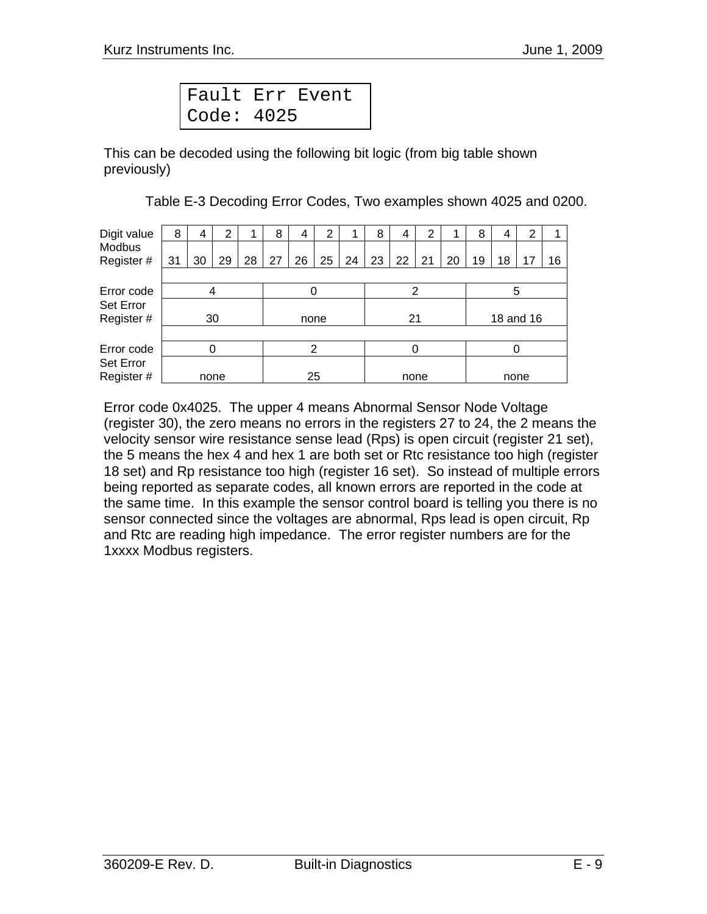| Fault Err Event |  |
|-----------------|--|
| Code: $4025$    |  |

This can be decoded using the following bit logic (from big table shown previously)

Table E-3 Decoding Error Codes, Two examples shown 4025 and 0200.

| Digit value | 8  | 4    | 2  |    | 8    | 4  | 2  |    | 8  | 4         | 2  |    | 8  |      | 2  |    |
|-------------|----|------|----|----|------|----|----|----|----|-----------|----|----|----|------|----|----|
| Modbus      |    |      |    |    |      |    |    |    |    |           |    |    |    |      |    |    |
| Register #  | 31 | 30   | 29 | 28 | 27   | 26 | 25 | 24 | 23 | 22        | 21 | 20 | 19 | 18   | 17 | 16 |
|             |    |      |    |    |      |    |    |    |    |           |    |    |    |      |    |    |
| Error code  |    | 4    |    |    |      | 0  |    |    |    | 2         |    |    |    | 5    |    |    |
| Set Error   |    |      |    |    |      |    |    |    |    |           |    |    |    |      |    |    |
| Register#   |    |      | 30 |    | none |    | 21 |    |    | 18 and 16 |    |    |    |      |    |    |
|             |    |      |    |    |      |    |    |    |    |           |    |    |    |      |    |    |
| Error code  |    | 0    |    |    | 2    |    | 0  |    |    |           | 0  |    |    |      |    |    |
| Set Error   |    |      |    |    |      |    |    |    |    |           |    |    |    |      |    |    |
| Register #  |    | none |    |    |      | 25 |    |    |    | none      |    |    |    | none |    |    |

Error code 0x4025. The upper 4 means Abnormal Sensor Node Voltage (register 30), the zero means no errors in the registers 27 to 24, the 2 means the velocity sensor wire resistance sense lead (Rps) is open circuit (register 21 set), the 5 means the hex 4 and hex 1 are both set or Rtc resistance too high (register 18 set) and Rp resistance too high (register 16 set). So instead of multiple errors being reported as separate codes, all known errors are reported in the code at the same time. In this example the sensor control board is telling you there is no sensor connected since the voltages are abnormal, Rps lead is open circuit, Rp and Rtc are reading high impedance. The error register numbers are for the 1xxxx Modbus registers.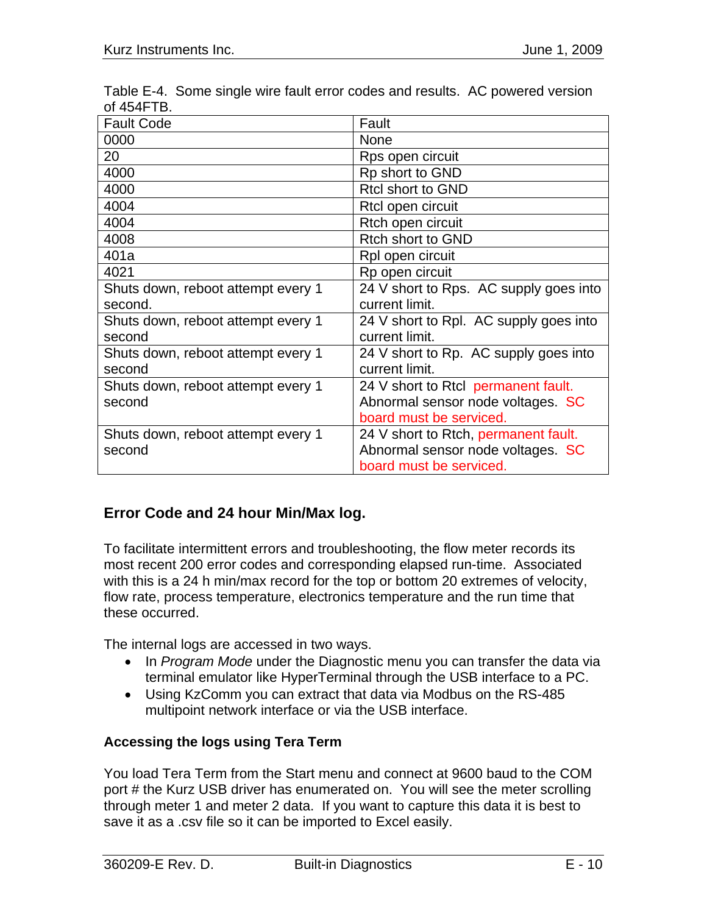| <b>Fault Code</b>                  | Fault                                  |
|------------------------------------|----------------------------------------|
| 0000                               | <b>None</b>                            |
| 20                                 | Rps open circuit                       |
| 4000                               | Rp short to GND                        |
| 4000                               | <b>Rtcl short to GND</b>               |
| 4004                               | Rtcl open circuit                      |
| 4004                               | Rtch open circuit                      |
| 4008                               | Rtch short to GND                      |
| 401a                               | Rpl open circuit                       |
| 4021                               | Rp open circuit                        |
| Shuts down, reboot attempt every 1 | 24 V short to Rps. AC supply goes into |
| second.                            | current limit.                         |
| Shuts down, reboot attempt every 1 | 24 V short to Rpl. AC supply goes into |
| second                             | current limit.                         |
| Shuts down, reboot attempt every 1 | 24 V short to Rp. AC supply goes into  |
| second                             | current limit.                         |
| Shuts down, reboot attempt every 1 | 24 V short to Rtcl permanent fault.    |
| second                             | Abnormal sensor node voltages. SC      |
|                                    | board must be serviced.                |
| Shuts down, reboot attempt every 1 | 24 V short to Rtch, permanent fault.   |
| second                             | Abnormal sensor node voltages. SC      |
|                                    | board must be serviced.                |

Table E-4. Some single wire fault error codes and results. AC powered version of 454FTB.

# **Error Code and 24 hour Min/Max log.**

To facilitate intermittent errors and troubleshooting, the flow meter records its most recent 200 error codes and corresponding elapsed run-time. Associated with this is a 24 h min/max record for the top or bottom 20 extremes of velocity, flow rate, process temperature, electronics temperature and the run time that these occurred.

The internal logs are accessed in two ways.

- In *Program Mode* under the Diagnostic menu you can transfer the data via terminal emulator like HyperTerminal through the USB interface to a PC.
- Using KzComm you can extract that data via Modbus on the RS-485 multipoint network interface or via the USB interface.

# **Accessing the logs using Tera Term**

You load Tera Term from the Start menu and connect at 9600 baud to the COM port # the Kurz USB driver has enumerated on. You will see the meter scrolling through meter 1 and meter 2 data. If you want to capture this data it is best to save it as a .csv file so it can be imported to Excel easily.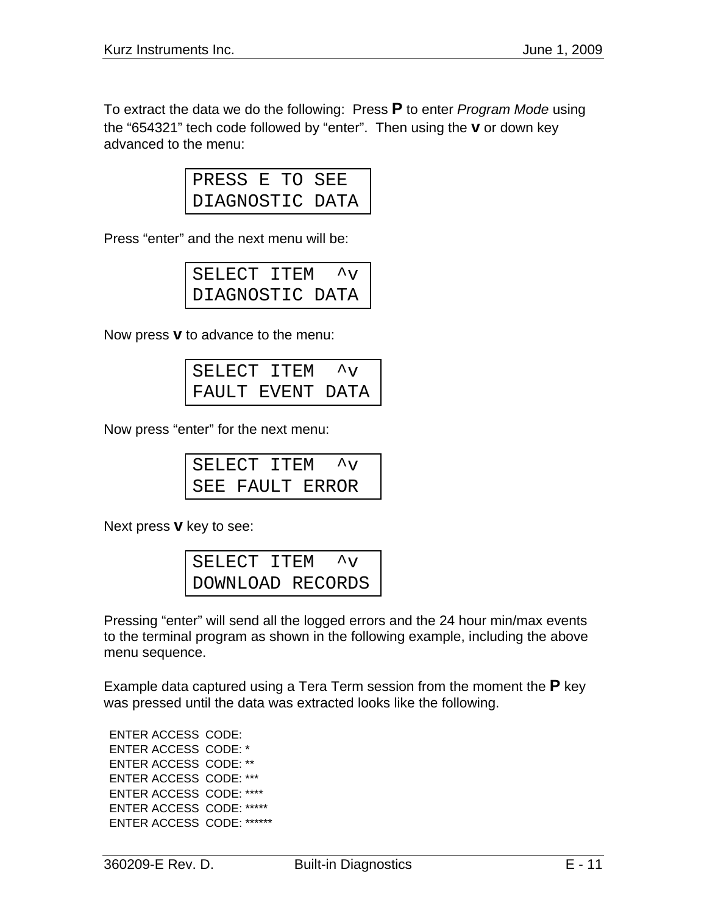To extract the data we do the following: Press **P** to enter *Program Mode* using the "654321" tech code followed by "enter". Then using the **v** or down key advanced to the menu:

| PRESS E TO SEE  |  |  |
|-----------------|--|--|
| DIAGNOSTIC DATA |  |  |

Press "enter" and the next menu will be:

| SELECT ITEM     |  | $\mathcal{N}^{\wedge}$ |
|-----------------|--|------------------------|
| DIAGNOSTIC DATA |  |                        |

Now press **v** to advance to the menu:

| SELECT ITEM       |  |
|-------------------|--|
| IFAULT EVENT DATA |  |

Now press "enter" for the next menu:

| SELECT ITEM $\gamma$ |  |  |
|----------------------|--|--|
| SEE FAULT ERROR      |  |  |

Next press **v** key to see:

| SELECT ITEM      |  | $\mathcal{N}^{\mathcal{A}}$ |
|------------------|--|-----------------------------|
| DOWNLOAD RECORDS |  |                             |

Pressing "enter" will send all the logged errors and the 24 hour min/max events to the terminal program as shown in the following example, including the above menu sequence.

Example data captured using a Tera Term session from the moment the **P** key was pressed until the data was extracted looks like the following.

ENTER ACCESS CODE: ENTER ACCESS CODE: \* ENTER ACCESS CODE: \*\* ENTER ACCESS CODE: \*\*\* ENTER ACCESS CODE: \*\*\*\* ENTER ACCESS CODE: \*\*\*\*\* ENTER ACCESS CODE: \*\*\*\*\*\*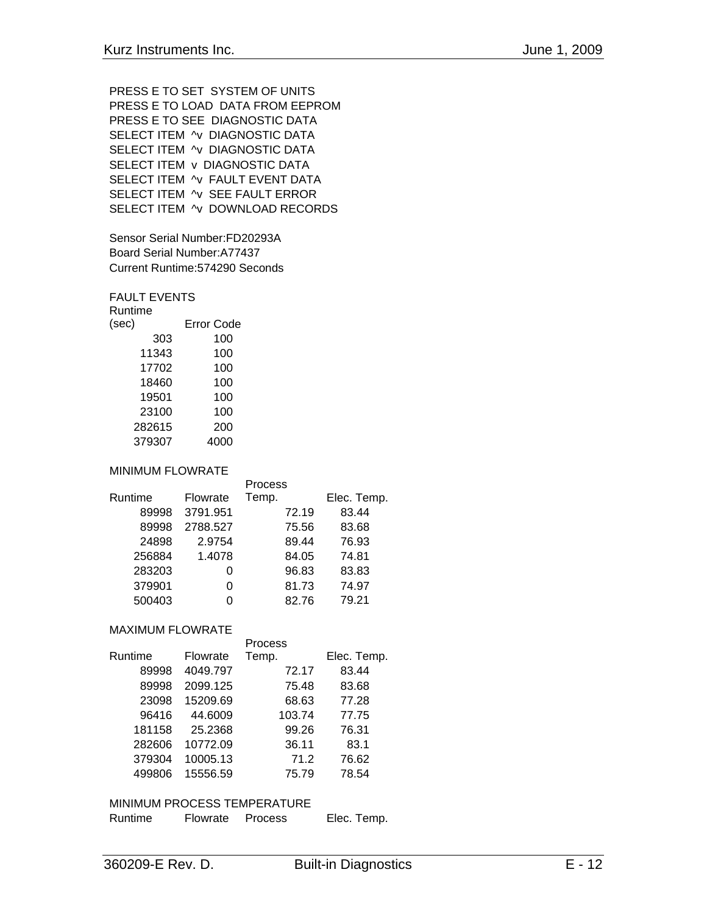```
PRESS E TO SET SYSTEM OF UNITS 
PRESS E TO LOAD DATA FROM EEPROM 
PRESS E TO SEE DIAGNOSTIC DATA 
SELECT ITEM ^v DIAGNOSTIC DATA
SELECT ITEM ^v DIAGNOSTIC DATA
SELECT ITEM v DIAGNOSTIC DATA
SELECT ITEM ^v FAULT EVENT DATA
SELECT ITEM ^v SEE FAULT ERROR 
SELECT ITEM ^v DOWNLOAD RECORDS
```
Sensor Serial Number:FD20293A Board Serial Number:A77437 Current Runtime:574290 Seconds

### FAULT EVENTS

| Error Code |
|------------|
| 100        |
| 100        |
| 100        |
| 100        |
| 100        |
| 100        |
| 200        |
| 4000       |
|            |

## MINIMUM FLOWRATE

|         |          | Process |             |
|---------|----------|---------|-------------|
| Runtime | Flowrate | Temp.   | Elec. Temp. |
| 89998   | 3791.951 | 72.19   | 83.44       |
| 89998   | 2788.527 | 75.56   | 83.68       |
| 24898   | 2.9754   | 89.44   | 76.93       |
| 256884  | 1.4078   | 84.05   | 74.81       |
| 283203  | 0        | 96.83   | 83.83       |
| 379901  | ი        | 81.73   | 74.97       |
| 500403  |          | 82.76   | 79.21       |

# MAXIMUM FLOWRATE

|         |          | Process |             |
|---------|----------|---------|-------------|
| Runtime | Flowrate | Temp.   | Elec. Temp. |
| 89998   | 4049.797 | 72.17   | 83.44       |
| 89998   | 2099.125 | 75.48   | 83.68       |
| 23098   | 15209.69 | 68.63   | 77.28       |
| 96416   | 44.6009  | 103.74  | 77.75       |
| 181158  | 25.2368  | 99.26   | 76.31       |
| 282606  | 10772.09 | 36.11   | 83.1        |
| 379304  | 10005.13 | 71.2    | 76.62       |
| 499806  | 15556.59 | 75.79   | 78.54       |

## MINIMUM PROCESS TEMPERATURE

| Runtime | Flowrate | Process | Elec. Temp. |
|---------|----------|---------|-------------|
|         |          |         |             |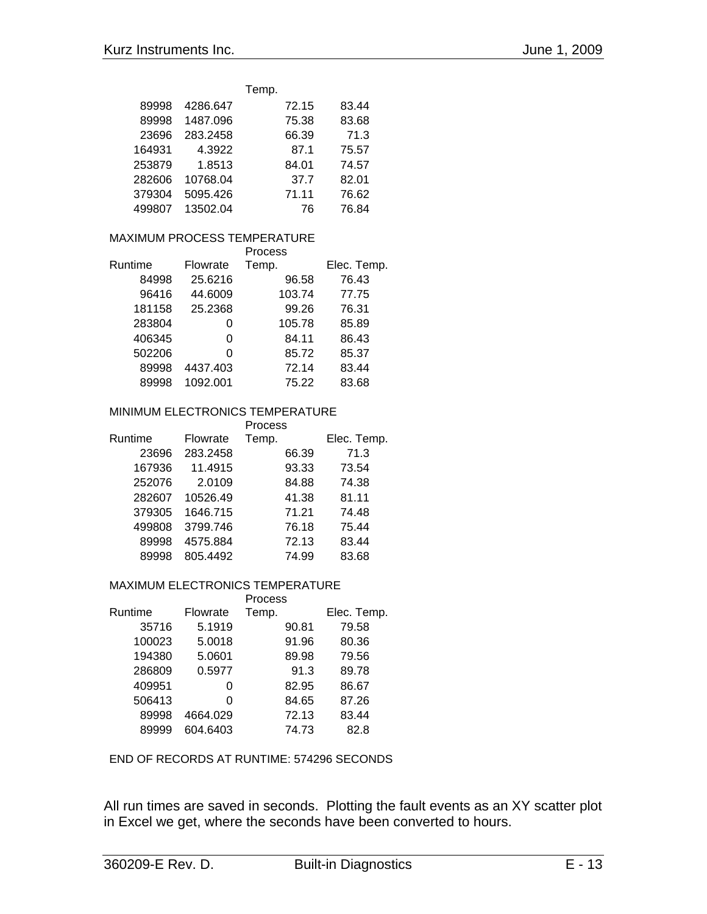|        |          | Temp. |       |
|--------|----------|-------|-------|
| 89998  | 4286.647 | 72.15 | 83.44 |
| 89998  | 1487.096 | 75.38 | 83.68 |
| 23696  | 283.2458 | 66.39 | 71.3  |
| 164931 | 4.3922   | 87.1  | 75.57 |
| 253879 | 1.8513   | 84.01 | 74.57 |
| 282606 | 10768.04 | 37.7  | 82.01 |
| 379304 | 5095.426 | 71.11 | 76.62 |
| 499807 | 13502.04 | 76    | 76.84 |

#### MAXIMUM PROCESS TEMPERATURE **Process**

|         |          | PIOCESS |             |
|---------|----------|---------|-------------|
| Runtime | Flowrate | Temp.   | Elec. Temp. |
| 84998   | 25.6216  | 96.58   | 76.43       |
| 96416   | 44.6009  | 103.74  | 77.75       |
| 181158  | 25.2368  | 99.26   | 76.31       |
| 283804  | 0        | 105.78  | 85.89       |
| 406345  | 0        | 84.11   | 86.43       |
| 502206  | O        | 85.72   | 85.37       |
| 89998   | 4437.403 | 72.14   | 83.44       |
| 89998   | 1092.001 | 75.22   | 83.68       |
|         |          |         |             |

## MINIMUM ELECTRONICS TEMPERATURE

|         |          | Process |             |
|---------|----------|---------|-------------|
| Runtime | Flowrate | Temp.   | Elec. Temp. |
| 23696   | 283.2458 | 66.39   | 71.3        |
| 167936  | 11.4915  | 93.33   | 73.54       |
| 252076  | 2.0109   | 84.88   | 74.38       |
| 282607  | 10526.49 | 41.38   | 81.11       |
| 379305  | 1646.715 | 71.21   | 74.48       |
| 499808  | 3799.746 | 76.18   | 75.44       |
| 89998   | 4575.884 | 72.13   | 83.44       |
| 89998   | 805.4492 | 74.99   | 83.68       |

## MAXIMUM ELECTRONICS TEMPERATURE

|         |          | Process |             |
|---------|----------|---------|-------------|
| Runtime | Flowrate | Temp.   | Elec. Temp. |
| 35716   | 5.1919   | 90.81   | 79.58       |
| 100023  | 5.0018   | 91.96   | 80.36       |
| 194380  | 5.0601   | 89.98   | 79.56       |
| 286809  | 0.5977   | 91.3    | 89.78       |
| 409951  | 0        | 82.95   | 86.67       |
| 506413  | ი        | 84.65   | 87.26       |
| 89998   | 4664.029 | 72.13   | 83.44       |
| 89999   | 604.6403 | 74.73   | 82.8        |
|         |          |         |             |

END OF RECORDS AT RUNTIME: 574296 SECONDS

All run times are saved in seconds. Plotting the fault events as an XY scatter plot in Excel we get, where the seconds have been converted to hours.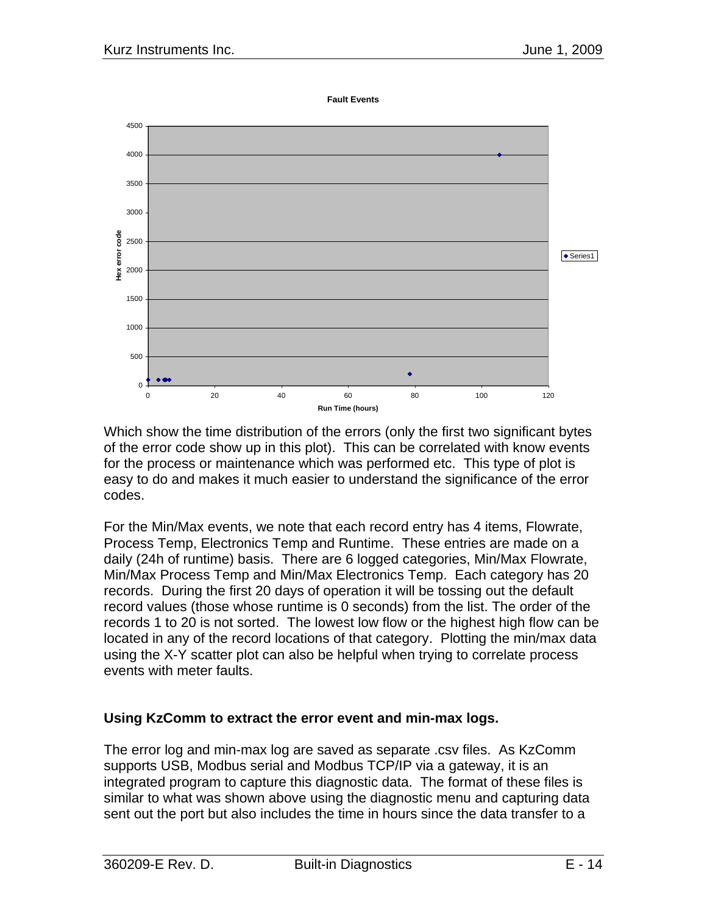**Fault Events**



Which show the time distribution of the errors (only the first two significant bytes of the error code show up in this plot). This can be correlated with know events for the process or maintenance which was performed etc. This type of plot is easy to do and makes it much easier to understand the significance of the error codes.

For the Min/Max events, we note that each record entry has 4 items, Flowrate, Process Temp, Electronics Temp and Runtime. These entries are made on a daily (24h of runtime) basis. There are 6 logged categories, Min/Max Flowrate, Min/Max Process Temp and Min/Max Electronics Temp. Each category has 20 records. During the first 20 days of operation it will be tossing out the default record values (those whose runtime is 0 seconds) from the list. The order of the records 1 to 20 is not sorted. The lowest low flow or the highest high flow can be located in any of the record locations of that category. Plotting the min/max data using the X-Y scatter plot can also be helpful when trying to correlate process events with meter faults.

# **Using KzComm to extract the error event and min-max logs.**

The error log and min-max log are saved as separate .csv files. As KzComm supports USB, Modbus serial and Modbus TCP/IP via a gateway, it is an integrated program to capture this diagnostic data. The format of these files is similar to what was shown above using the diagnostic menu and capturing data sent out the port but also includes the time in hours since the data transfer to a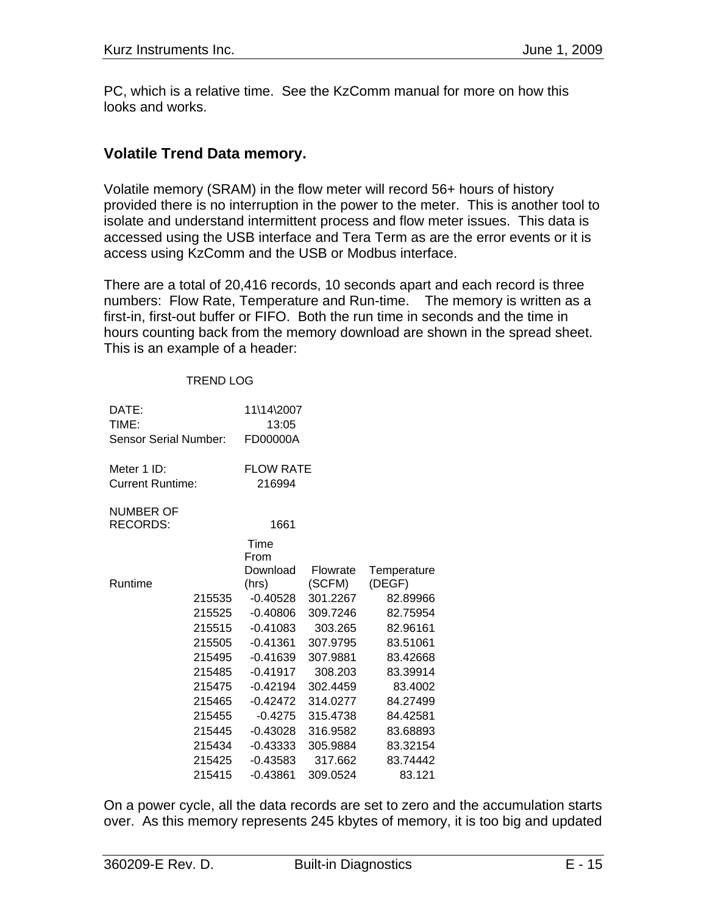PC, which is a relative time. See the KzComm manual for more on how this looks and works.

# **Volatile Trend Data memory.**

Volatile memory (SRAM) in the flow meter will record 56+ hours of history provided there is no interruption in the power to the meter. This is another tool to isolate and understand intermittent process and flow meter issues. This data is accessed using the USB interface and Tera Term as are the error events or it is access using KzComm and the USB or Modbus interface.

There are a total of 20,416 records, 10 seconds apart and each record is three numbers: Flow Rate, Temperature and Run-time. The memory is written as a first-in, first-out buffer or FIFO. Both the run time in seconds and the time in hours counting back from the memory download are shown in the spread sheet. This is an example of a header:

### TREND LOG

| DATE:<br>TIME:          |        | 11\14\2007<br>13:05 |          |             |
|-------------------------|--------|---------------------|----------|-------------|
| Sensor Serial Number:   |        | FD00000A            |          |             |
| Meter 1 ID:             |        | <b>FLOW RATE</b>    |          |             |
| <b>Current Runtime:</b> |        | 216994              |          |             |
| <b>NUMBER OF</b>        |        |                     |          |             |
| <b>RECORDS:</b>         |        | 1661                |          |             |
|                         |        | Time                |          |             |
|                         |        | From                |          |             |
|                         |        | Download            | Flowrate | Temperature |
| Runtime                 |        | (hrs)               | (SCFM)   | (DEGF)      |
|                         | 215535 | $-0.40528$          | 301.2267 | 82.89966    |
|                         | 215525 | $-0.40806$          | 309.7246 | 82.75954    |
|                         | 215515 | $-0.41083$          | 303.265  | 82.96161    |
|                         | 215505 | $-0.41361$          | 307.9795 | 83.51061    |
|                         | 215495 | $-0.41639$          | 307.9881 | 83.42668    |
|                         | 215485 | $-0.41917$          | 308.203  | 83.39914    |
|                         | 215475 | $-0.42194$          | 302.4459 | 83.4002     |
|                         | 215465 | $-0.42472$          | 314.0277 | 84.27499    |
|                         | 215455 | $-0.4275$           | 315.4738 | 84.42581    |
|                         | 215445 | $-0.43028$          | 316.9582 | 83.68893    |
|                         | 215434 | $-0.43333$          | 305.9884 | 83.32154    |
|                         | 215425 | $-0.43583$          | 317.662  | 83.74442    |
|                         | 215415 | $-0.43861$          | 309.0524 | 83.121      |

On a power cycle, all the data records are set to zero and the accumulation starts over. As this memory represents 245 kbytes of memory, it is too big and updated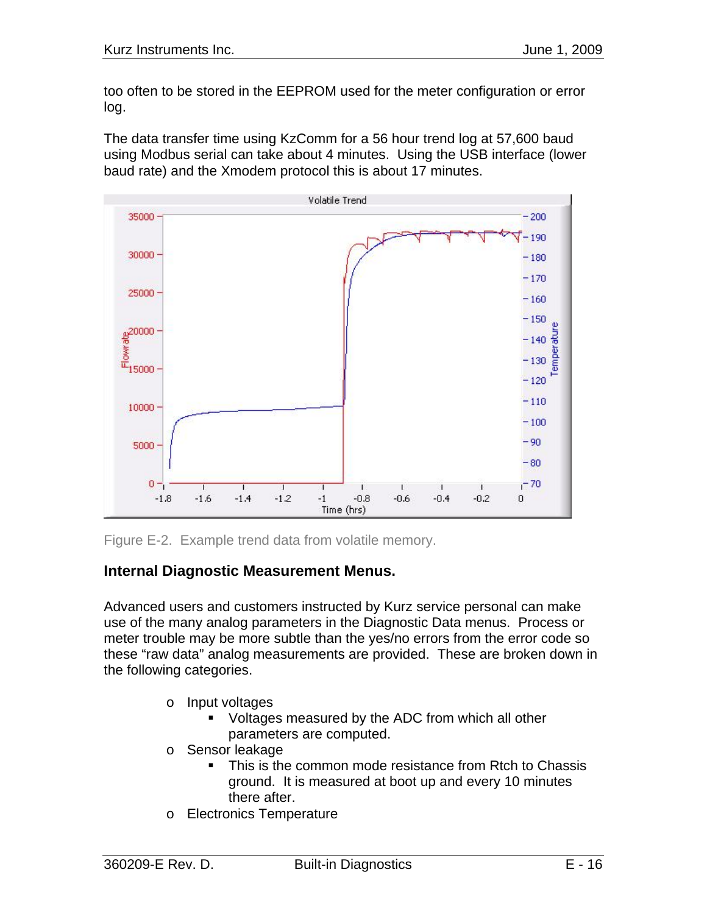too often to be stored in the EEPROM used for the meter configuration or error log.

The data transfer time using KzComm for a 56 hour trend log at 57,600 baud using Modbus serial can take about 4 minutes. Using the USB interface (lower baud rate) and the Xmodem protocol this is about 17 minutes.



Figure E-2. Example trend data from volatile memory.

# **Internal Diagnostic Measurement Menus.**

Advanced users and customers instructed by Kurz service personal can make use of the many analog parameters in the Diagnostic Data menus. Process or meter trouble may be more subtle than the yes/no errors from the error code so these "raw data" analog measurements are provided. These are broken down in the following categories.

- o Input voltages
	- Voltages measured by the ADC from which all other parameters are computed.
- o Sensor leakage
	- This is the common mode resistance from Rtch to Chassis ground. It is measured at boot up and every 10 minutes there after.
- o Electronics Temperature